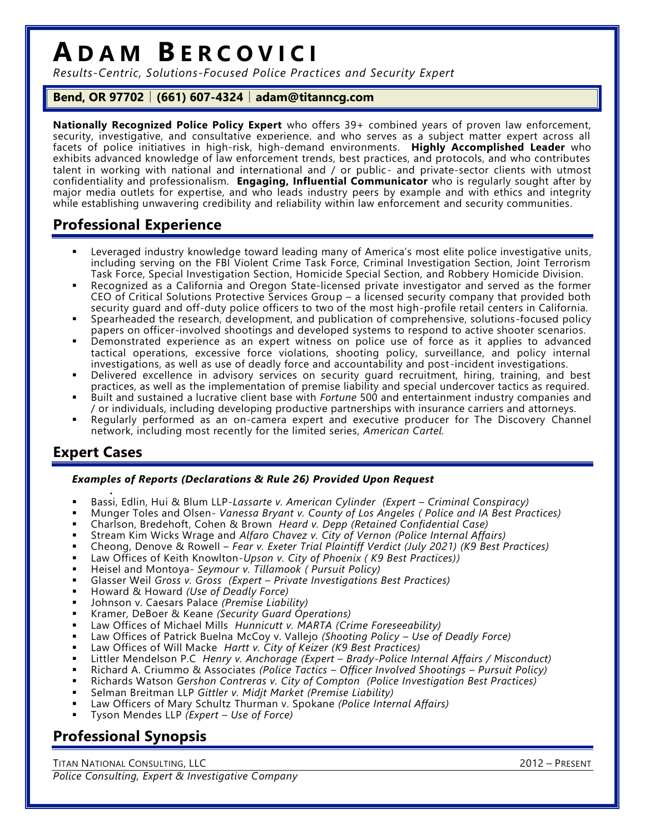# **A D A M B E R C O V I C I**

*Results-Centric, Solutions-Focused Police Practices and Security Expert*

### **Bend, OR 97702** │ **(661) 607-4324** │ **adam@titanncg.com**

**Nationally Recognized Police Policy Expert** who offers 39+ combined years of proven law enforcement, security, investigative, and consultative experience, and who serves as a subject matter expert across all facets of police initiatives in high-risk, high-demand environments. **Highly Accomplished Leader** who exhibits advanced knowledge of law enforcement trends, best practices, and protocols, and who contributes talent in working with national and international and / or public- and private-sector clients with utmost confidentiality and professionalism. **Engaging, Influential Communicator** who is regularly sought after by major media outlets for expertise, and who leads industry peers by example and with ethics and integrity while establishing unwavering credibility and reliability within law enforcement and security communities.

# **Professional Experience**

- Leveraged industry knowledge toward leading many of America's most elite police investigative units, including serving on the FBI Violent Crime Task Force, Criminal Investigation Section, Joint Terrorism Task Force, Special Investigation Section, Homicide Special Section, and Robbery Homicide Division.
- Recognized as a California and Oregon State-licensed private investigator and served as the former CEO of Critical Solutions Protective Services Group – a licensed security company that provided both security guard and off-duty police officers to two of the most high-profile retail centers in California.
- Spearheaded the research, development, and publication of comprehensive, solutions-focused policy papers on officer-involved shootings and developed systems to respond to active shooter scenarios.
- Demonstrated experience as an expert witness on police use of force as it applies to advanced tactical operations, excessive force violations, shooting policy, surveillance, and policy internal investigations, as well as use of deadly force and accountability and post -incident investigations.
- Delivered excellence in advisory services on security guard recruitment, hiring, training, and best practices, as well as the implementation of premise liability and special undercover tactics as required.
- Built and sustained a lucrative client base with *Fortune* 500 and entertainment industry companies and / or individuals, including developing productive partnerships with insurance carriers and attorneys.
- Regularly performed as an on-camera expert and executive producer for The Discovery Channel network, including most recently for the limited series, *American Cartel.*

## **Expert Cases**

#### *Examples of Reports (Declarations & Rule 26) Provided Upon Request*

- . Bassi, Edlin, Hui & Blum LLP-*Lassarte v. American Cylinder (Expert – Criminal Conspiracy)*
- Munger Toles and Olsen- *Vanessa Bryant v. County of Los Angeles ( Police and IA Best Practices)*
- Charlson, Bredehoft, Cohen & Brown *Heard v. Depp (Retained Confidential Case)*
- Stream Kim Wicks Wrage and *Alfaro Chavez v. City of Vernon (Police Internal Affairs)*
- Cheong, Denove & Rowell *Fear v. Exeter Trial Plaintiff Verdict (July 2021) (K9 Best Practices)*
- Law Offices of Keith Knowlton*-Upson v. City of Phoenix ( K9 Best Practices))*
- Heisel and Montoya*- Seymour v. Tillamook ( Pursuit Policy)*
- Glasser Weil *Gross v. Gross (Expert – Private Investigations Best Practices)*
- Howard & Howard *(Use of Deadly Force)*
- Johnson v. Caesars Palace *(Premise Liability)*
- Kramer, DeBoer & Keane *(Security Guard Operations)*
- Law Offices of Michael Mills *Hunnicutt v. MARTA (Crime Foreseeability)*
- Law Offices of Patrick Buelna McCoy v. Vallejo *(Shooting Policy – Use of Deadly Force)*
- Law Offices of Will Macke *Hartt v. City of Keizer (K9 Best Practices)*
- Littler Mendelson P.C *Henry v. Anchorage (Expert – Brady-Police Internal Affairs / Misconduct)*
- Richard A. Criummo & Associates *(Police Tactics – Officer Involved Shootings – Pursuit Policy)*
- Richards Watson *Gershon Contreras v. City of Compton (Police Investigation Best Practices)*
- Selman Breitman LLP *Gittler v. Midjt Market (Premise Liability)*
- Law Officers of Mary Schultz Thurman v. Spokane *(Police Internal Affairs)*
- Tyson Mendes LLP *(Expert – Use of Force)*

# **Professional Synopsis**

TITAN NATIONAL CONSULTING, LLC 2012 – PRESENT *Police Consulting, Expert & Investigative Company*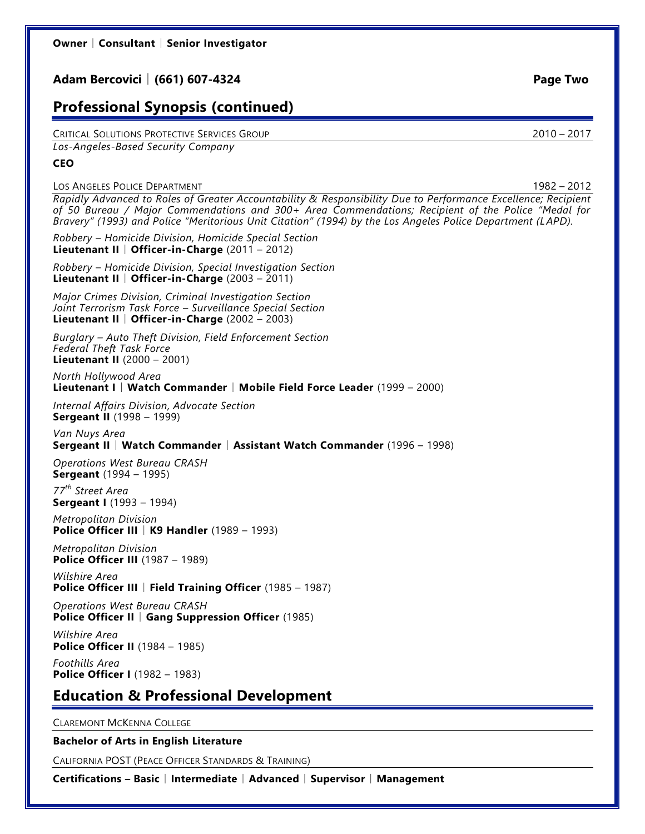## **Adam Bercovici** │ **(661) 607-4324 Page Two**

# **Professional Synopsis (continued)**

CRITICAL SOLUTIONS PROTECTIVE SERVICES GROUP 2010 – 2017 *Los-Angeles-Based Security Company*

#### **CEO**

#### LOS ANGELES POLICE DEPARTMENT 1982 – 2012

*Rapidly Advanced to Roles of Greater Accountability & Responsibility Due to Performance Excellence; Recipient of 50 Bureau / Major Commendations and 300+ Area Commendations; Recipient of the Police "Medal for Bravery" (1993) and Police "Meritorious Unit Citation" (1994) by the Los Angeles Police Department (LAPD).*

*Robbery – Homicide Division, Homicide Special Section* **Lieutenant II** │ **Officer-in-Charge** (2011 – 2012)

*Robbery – Homicide Division, Special Investigation Section* **Lieutenant II** │ **Officer-in-Charge** (2003 – 2011)

*Major Crimes Division, Criminal Investigation Section Joint Terrorism Task Force – Surveillance Special Section* **Lieutenant II** │ **Officer-in-Charge** (2002 – 2003)

*Burglary – Auto Theft Division, Field Enforcement Section Federal Theft Task Force* **Lieutenant II** (2000 – 2001)

*North Hollywood Area* **Lieutenant I** │ **Watch Commander** │ **Mobile Field Force Leader** (1999 – 2000)

*Internal Affairs Division, Advocate Section* **Sergeant II** (1998 – 1999)

*Van Nuys Area* **Sergeant II** │ **Watch Commander** │ **Assistant Watch Commander** (1996 – 1998)

*Operations West Bureau CRASH* **Sergeant** (1994 – 1995)

*77th Street Area* **Sergeant I** (1993 – 1994)

*Metropolitan Division* **Police Officer III** │ **K9 Handler** (1989 – 1993)

*Metropolitan Division* **Police Officer III** (1987 – 1989)

*Wilshire Area* **Police Officer III** │ **Field Training Officer** (1985 – 1987)

*Operations West Bureau CRASH* **Police Officer II** │ **Gang Suppression Officer** (1985)

*Wilshire Area* **Police Officer II** (1984 – 1985)

*Foothills Area* **Police Officer I** (1982 – 1983)

## **Education & Professional Development**

CLAREMONT MCKENNA COLLEGE

#### **Bachelor of Arts in English Literature**

CALIFORNIA POST (PEACE OFFICER STANDARDS & TRAINING)

**Certifications – Basic** │ **Intermediate** │ **Advanced** │ **Supervisor** │ **Management**